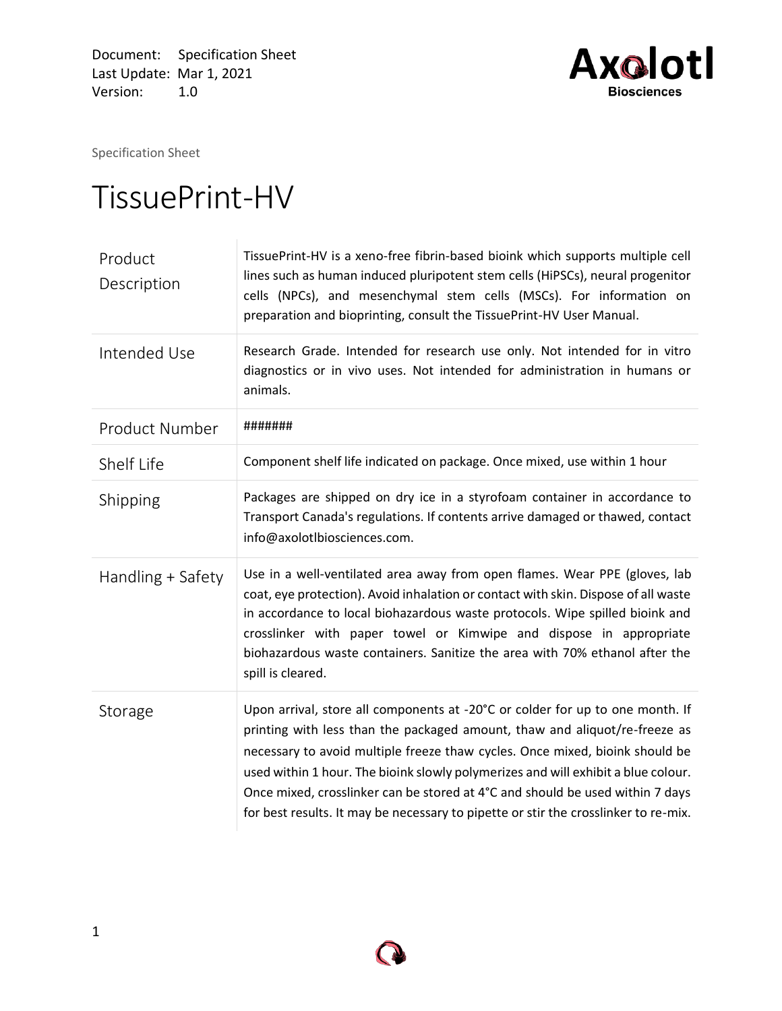Document: Specification Sheet Last Update: Mar 1, 2021 Version: 1.0



Specification Sheet

## TissuePrint -HV

| Product<br>Description | TissuePrint-HV is a xeno-free fibrin-based bioink which supports multiple cell<br>lines such as human induced pluripotent stem cells (HiPSCs), neural progenitor<br>cells (NPCs), and mesenchymal stem cells (MSCs). For information on<br>preparation and bioprinting, consult the TissuePrint-HV User Manual.                                                                                                                                                                                          |  |
|------------------------|----------------------------------------------------------------------------------------------------------------------------------------------------------------------------------------------------------------------------------------------------------------------------------------------------------------------------------------------------------------------------------------------------------------------------------------------------------------------------------------------------------|--|
| Intended Use           | Research Grade. Intended for research use only. Not intended for in vitro<br>diagnostics or in vivo uses. Not intended for administration in humans or<br>animals.                                                                                                                                                                                                                                                                                                                                       |  |
| <b>Product Number</b>  | #######                                                                                                                                                                                                                                                                                                                                                                                                                                                                                                  |  |
| Shelf Life             | Component shelf life indicated on package. Once mixed, use within 1 hour                                                                                                                                                                                                                                                                                                                                                                                                                                 |  |
| Shipping               | Packages are shipped on dry ice in a styrofoam container in accordance to<br>Transport Canada's regulations. If contents arrive damaged or thawed, contact<br>info@axolotlbiosciences.com.                                                                                                                                                                                                                                                                                                               |  |
| Handling + Safety      | Use in a well-ventilated area away from open flames. Wear PPE (gloves, lab<br>coat, eye protection). Avoid inhalation or contact with skin. Dispose of all waste<br>in accordance to local biohazardous waste protocols. Wipe spilled bioink and<br>crosslinker with paper towel or Kimwipe and dispose in appropriate<br>biohazardous waste containers. Sanitize the area with 70% ethanol after the<br>spill is cleared.                                                                               |  |
| Storage                | Upon arrival, store all components at -20°C or colder for up to one month. If<br>printing with less than the packaged amount, thaw and aliquot/re-freeze as<br>necessary to avoid multiple freeze thaw cycles. Once mixed, bioink should be<br>used within 1 hour. The bioink slowly polymerizes and will exhibit a blue colour.<br>Once mixed, crosslinker can be stored at 4°C and should be used within 7 days<br>for best results. It may be necessary to pipette or stir the crosslinker to re-mix. |  |